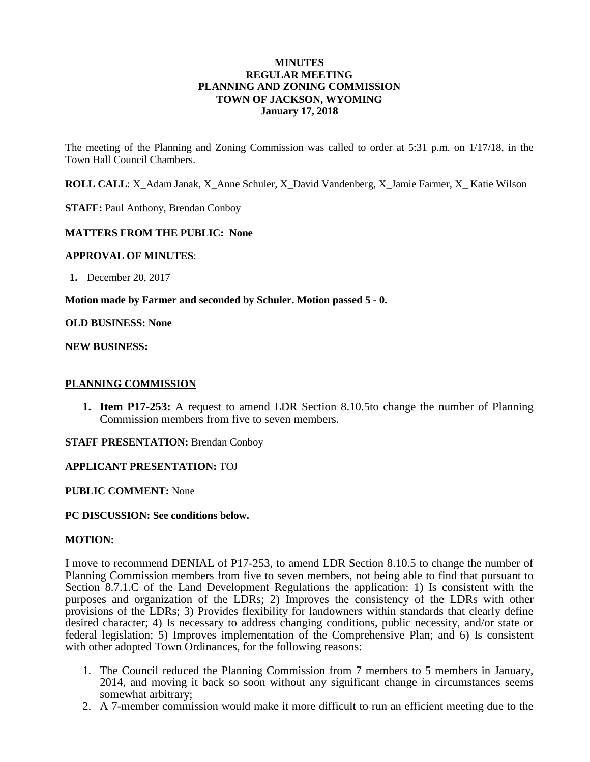#### **MINUTES REGULAR MEETING PLANNING AND ZONING COMMISSION TOWN OF JACKSON, WYOMING January 17, 2018**

The meeting of the Planning and Zoning Commission was called to order at 5:31 p.m. on 1/17/18, in the Town Hall Council Chambers.

**ROLL CALL**: X\_Adam Janak, X\_Anne Schuler, X\_David Vandenberg, X\_Jamie Farmer, X\_ Katie Wilson

**STAFF:** Paul Anthony, Brendan Conboy

## **MATTERS FROM THE PUBLIC: None**

#### **APPROVAL OF MINUTES**:

**1.** December 20, 2017

**Motion made by Farmer and seconded by Schuler. Motion passed 5 - 0.**

**OLD BUSINESS: None**

**NEW BUSINESS:**

#### **PLANNING COMMISSION**

**1. Item P17-253:** A request to amend LDR Section 8.10.5to change the number of Planning Commission members from five to seven members.

**STAFF PRESENTATION: Brendan Conboy** 

#### **APPLICANT PRESENTATION:** TOJ

**PUBLIC COMMENT:** None

#### **PC DISCUSSION: See conditions below.**

#### **MOTION:**

I move to recommend DENIAL of P17-253, to amend LDR Section 8.10.5 to change the number of Planning Commission members from five to seven members, not being able to find that pursuant to Section 8.7.1.C of the Land Development Regulations the application: 1) Is consistent with the purposes and organization of the LDRs; 2) Improves the consistency of the LDRs with other provisions of the LDRs; 3) Provides flexibility for landowners within standards that clearly define desired character; 4) Is necessary to address changing conditions, public necessity, and/or state or federal legislation; 5) Improves implementation of the Comprehensive Plan; and 6) Is consistent with other adopted Town Ordinances, for the following reasons:

- 1. The Council reduced the Planning Commission from 7 members to 5 members in January, 2014, and moving it back so soon without any significant change in circumstances seems somewhat arbitrary;
- 2. A 7-member commission would make it more difficult to run an efficient meeting due to the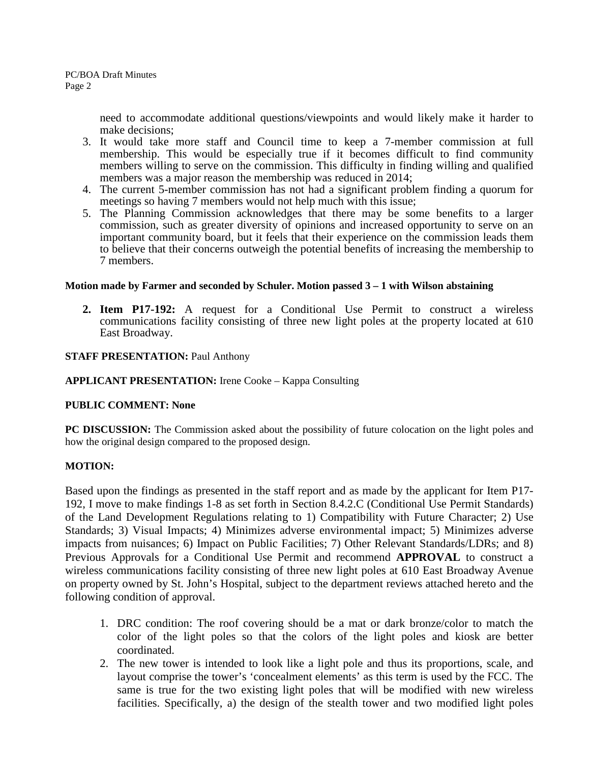need to accommodate additional questions/viewpoints and would likely make it harder to make decisions;

- 3. It would take more staff and Council time to keep a 7-member commission at full membership. This would be especially true if it becomes difficult to find community members willing to serve on the commission. This difficulty in finding willing and qualified members was a major reason the membership was reduced in 2014;
- 4. The current 5-member commission has not had a significant problem finding a quorum for meetings so having 7 members would not help much with this issue;
- 5. The Planning Commission acknowledges that there may be some benefits to a larger commission, such as greater diversity of opinions and increased opportunity to serve on an important community board, but it feels that their experience on the commission leads them to believe that their concerns outweigh the potential benefits of increasing the membership to 7 members.

## **Motion made by Farmer and seconded by Schuler. Motion passed 3 – 1 with Wilson abstaining**

**2. Item P17-192:** A request for a Conditional Use Permit to construct a wireless communications facility consisting of three new light poles at the property located at 610 East Broadway.

## **STAFF PRESENTATION: Paul Anthony**

## **APPLICANT PRESENTATION:** Irene Cooke – Kappa Consulting

## **PUBLIC COMMENT: None**

**PC DISCUSSION:** The Commission asked about the possibility of future colocation on the light poles and how the original design compared to the proposed design.

## **MOTION:**

Based upon the findings as presented in the staff report and as made by the applicant for Item P17- 192, I move to make findings 1-8 as set forth in Section 8.4.2.C (Conditional Use Permit Standards) of the Land Development Regulations relating to 1) Compatibility with Future Character; 2) Use Standards; 3) Visual Impacts; 4) Minimizes adverse environmental impact; 5) Minimizes adverse impacts from nuisances; 6) Impact on Public Facilities; 7) Other Relevant Standards/LDRs; and 8) Previous Approvals for a Conditional Use Permit and recommend **APPROVAL** to construct a wireless communications facility consisting of three new light poles at 610 East Broadway Avenue on property owned by St. John's Hospital, subject to the department reviews attached hereto and the following condition of approval.

- 1. DRC condition: The roof covering should be a mat or dark bronze/color to match the color of the light poles so that the colors of the light poles and kiosk are better coordinated.
- 2. The new tower is intended to look like a light pole and thus its proportions, scale, and layout comprise the tower's 'concealment elements' as this term is used by the FCC. The same is true for the two existing light poles that will be modified with new wireless facilities. Specifically, a) the design of the stealth tower and two modified light poles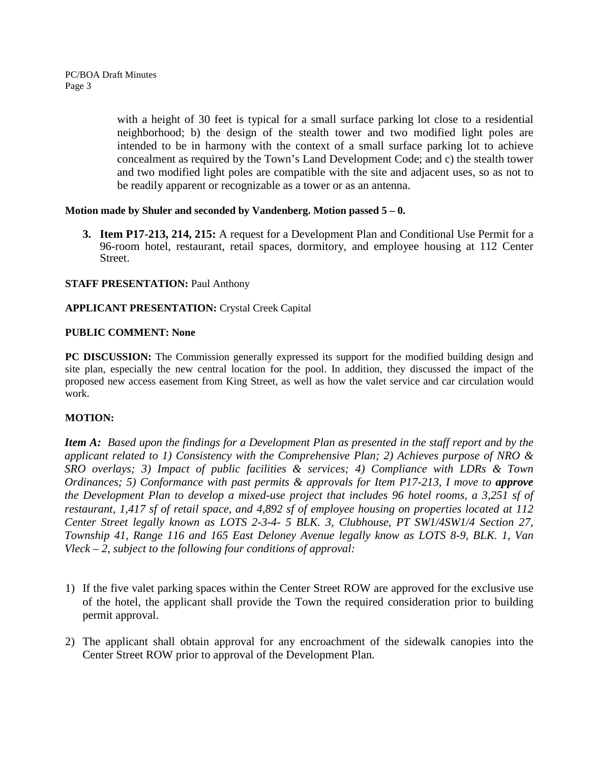with a height of 30 feet is typical for a small surface parking lot close to a residential neighborhood; b) the design of the stealth tower and two modified light poles are intended to be in harmony with the context of a small surface parking lot to achieve concealment as required by the Town's Land Development Code; and c) the stealth tower and two modified light poles are compatible with the site and adjacent uses, so as not to be readily apparent or recognizable as a tower or as an antenna.

## **Motion made by Shuler and seconded by Vandenberg. Motion passed 5 – 0.**

**3. Item P17-213, 214, 215:** A request for a Development Plan and Conditional Use Permit for a 96-room hotel, restaurant, retail spaces, dormitory, and employee housing at 112 Center Street.

# **STAFF PRESENTATION: Paul Anthony**

# **APPLICANT PRESENTATION:** Crystal Creek Capital

## **PUBLIC COMMENT: None**

**PC DISCUSSION:** The Commission generally expressed its support for the modified building design and site plan, especially the new central location for the pool. In addition, they discussed the impact of the proposed new access easement from King Street, as well as how the valet service and car circulation would work.

# **MOTION:**

*Item A: Based upon the findings for a Development Plan as presented in the staff report and by the applicant related to 1) Consistency with the Comprehensive Plan; 2) Achieves purpose of NRO & SRO overlays; 3) Impact of public facilities & services; 4) Compliance with LDRs & Town Ordinances; 5) Conformance with past permits & approvals for Item P17-213, I move to approve the Development Plan to develop a mixed-use project that includes 96 hotel rooms, a 3,251 sf of restaurant, 1,417 sf of retail space, and 4,892 sf of employee housing on properties located at 112 Center Street legally known as LOTS 2-3-4- 5 BLK. 3, Clubhouse, PT SW1/4SW1/4 Section 27, Township 41, Range 116 and 165 East Deloney Avenue legally know as LOTS 8-9, BLK. 1, Van Vleck – 2, subject to the following four conditions of approval:*

- 1) If the five valet parking spaces within the Center Street ROW are approved for the exclusive use of the hotel, the applicant shall provide the Town the required consideration prior to building permit approval.
- 2) The applicant shall obtain approval for any encroachment of the sidewalk canopies into the Center Street ROW prior to approval of the Development Plan.